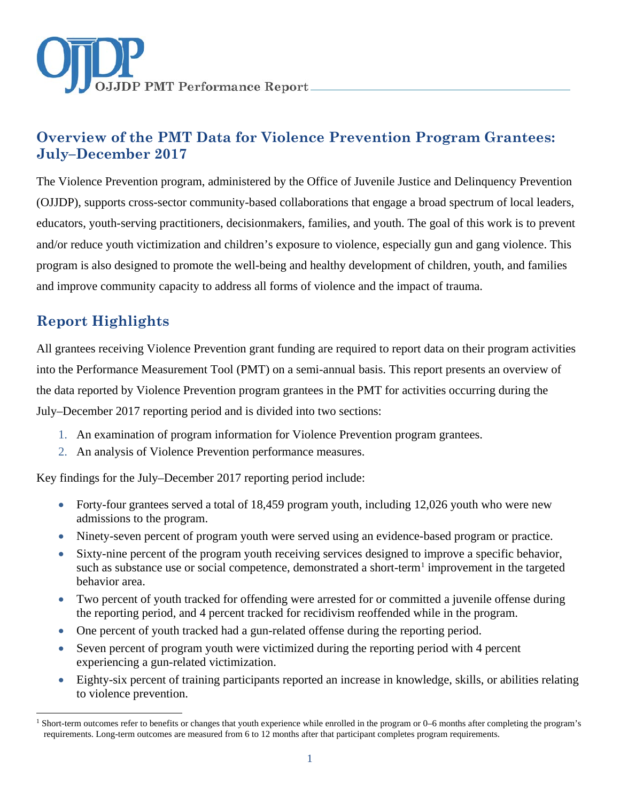

# **Overview of the PMT Data for Violence Prevention Program Grantees: July–December 2017**

The Violence Prevention program, administered by the Office of Juvenile Justice and Delinquency Prevention (OJJDP), supports cross-sector community-based collaborations that engage a broad spectrum of local leaders, educators, youth-serving practitioners, decisionmakers, families, and youth. The goal of this work is to prevent and/or reduce youth victimization and children's exposure to violence, especially gun and gang violence. This program is also designed to promote the well-being and healthy development of children, youth, and families and improve community capacity to address all forms of violence and the impact of trauma.

# **Report Highlights**

 $\overline{a}$ 

All grantees receiving Violence Prevention grant funding are required to report data on their program activities into the Performance Measurement Tool (PMT) on a semi-annual basis. This report presents an overview of the data reported by Violence Prevention program grantees in the PMT for activities occurring during the July–December 2017 reporting period and is divided into two sections:

- 1. An examination of program information for Violence Prevention program grantees.
- 2. An analysis of Violence Prevention performance measures.

Key findings for the July–December 2017 reporting period include:

- Forty-four grantees served a total of 18,459 program youth, including 12,026 youth who were new admissions to the program.
- Ninety-seven percent of program youth were served using an evidence-based program or practice.
- Sixty-nine percent of the program youth receiving services designed to improve a specific behavior, such as substance use or social competence, demonstrated a short-term<sup>[1](#page-0-0)</sup> improvement in the targeted behavior area.
- Two percent of youth tracked for offending were arrested for or committed a juvenile offense during the reporting period, and 4 percent tracked for recidivism reoffended while in the program.
- One percent of youth tracked had a gun-related offense during the reporting period.
- Seven percent of program youth were victimized during the reporting period with 4 percent experiencing a gun-related victimization.
- Eighty-six percent of training participants reported an increase in knowledge, skills, or abilities relating to violence prevention.

<span id="page-0-0"></span><sup>&</sup>lt;sup>1</sup> Short-term outcomes refer to benefits or changes that youth experience while enrolled in the program or 0–6 months after completing the program's requirements. Long-term outcomes are measured from 6 to 12 months after that participant completes program requirements.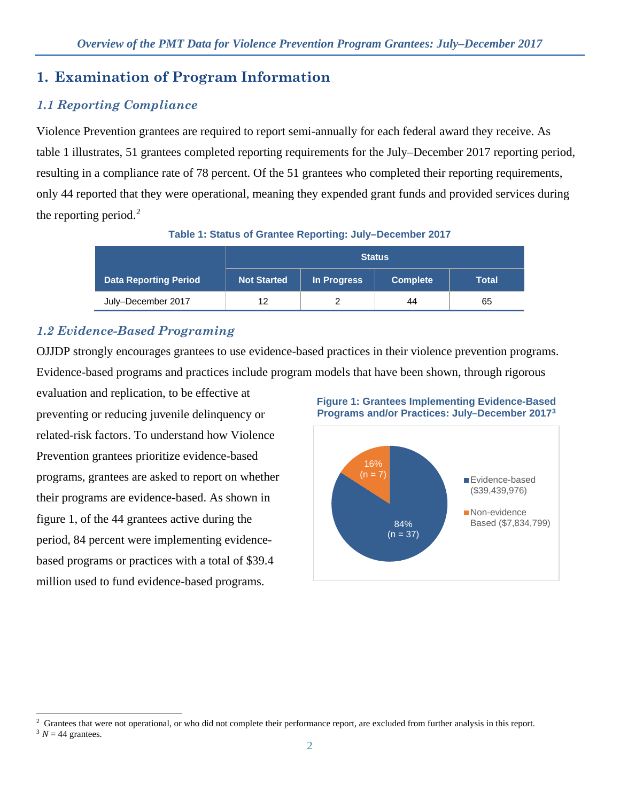# **1. Examination of Program Information**

# *1.1 Reporting Compliance*

Violence Prevention grantees are required to report semi-annually for each federal award they receive. As table 1 illustrates, 51 grantees completed reporting requirements for the July–December 2017 reporting period, resulting in a compliance rate of 78 percent. Of the 51 grantees who completed their reporting requirements, only 44 reported that they were operational, meaning they expended grant funds and provided services during the reporting period.<sup>[2](#page-1-0)</sup>

**Table 1: Status of Grantee Reporting: July–December 2017**

|                              | <b>Status</b>      |             |                 |       |
|------------------------------|--------------------|-------------|-----------------|-------|
| <b>Data Reporting Period</b> | <b>Not Started</b> | In Progress | <b>Complete</b> | Total |
| July-December 2017           | 12                 |             | 44              | 65    |

# *1.2 Evidence-Based Programing*

OJJDP strongly encourages grantees to use evidence-based practices in their violence prevention programs. Evidence-based programs and practices include program models that have been shown, through rigorous

evaluation and replication, to be effective at preventing or reducing juvenile delinquency or related-risk factors. To understand how Violence Prevention grantees prioritize evidence-based programs, grantees are asked to report on whether their programs are evidence-based. As shown in figure 1, of the 44 grantees active during the period, 84 percent were implementing evidencebased programs or practices with a total of \$39.4 million used to fund evidence-based programs.



**Figure 1: Grantees Implementing Evidence-Based Programs and/or Practices: July–December 2017[3](#page-1-1)**

 $\overline{a}$ <sup>2</sup> Grantees that were not operational, or who did not complete their performance report, are excluded from further analysis in this report.

<span id="page-1-1"></span><span id="page-1-0"></span> $3 N = 44$  grantees.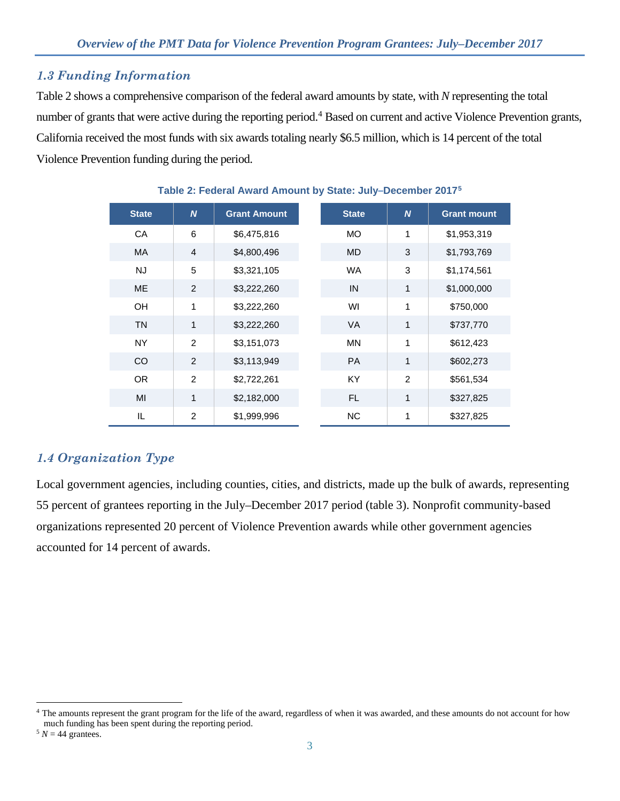# *1.3 Funding Information*

Table 2 shows a comprehensive comparison of the federal award amounts by state, with *N* representing the total number of grants that were active during the reporting period.<sup>[4](#page-2-0)</sup> Based on current and active Violence Prevention grants, California received the most funds with six awards totaling nearly \$6.5 million, which is 14 percent of the total Violence Prevention funding during the period.

| <b>State</b> | $\boldsymbol{N}$ | <b>Grant Amount</b> | <b>State</b> | $\boldsymbol{N}$ | <b>Grant mount</b> |
|--------------|------------------|---------------------|--------------|------------------|--------------------|
| CA           | 6                | \$6,475,816         | <b>MO</b>    | 1                | \$1,953,319        |
| <b>MA</b>    | $\overline{4}$   | \$4,800,496         | <b>MD</b>    | 3                | \$1,793,769        |
| <b>NJ</b>    | 5                | \$3,321,105         | <b>WA</b>    | 3                | \$1,174,561        |
| <b>ME</b>    | 2                | \$3,222,260         | IN           | 1                | \$1,000,000        |
| OH           | 1                | \$3,222,260         | WI           | 1                | \$750,000          |
| <b>TN</b>    | 1                | \$3,222,260         | <b>VA</b>    | 1                | \$737,770          |
| <b>NY</b>    | 2                | \$3,151,073         | <b>MN</b>    | 1                | \$612,423          |
| CO           | 2                | \$3,113,949         | <b>PA</b>    | $\mathbf{1}$     | \$602,273          |
| OR.          | 2                | \$2,722,261         | <b>KY</b>    | $\overline{2}$   | \$561,534          |
| MI           | $\mathbf{1}$     | \$2,182,000         | FL.          | 1                | \$327,825          |
| IL.          | $\overline{2}$   | \$1,999,996         | <b>NC</b>    | $\mathbf{1}$     | \$327,825          |

#### **Table 2: Federal Award Amount by State: July–December 2017[5](#page-2-1)**

# *1.4 Organization Type*

Local government agencies, including counties, cities, and districts, made up the bulk of awards, representing 55 percent of grantees reporting in the July–December 2017 period (table 3). Nonprofit community-based organizations represented 20 percent of Violence Prevention awards while other government agencies accounted for 14 percent of awards.

<span id="page-2-0"></span> $\overline{a}$ <sup>4</sup> The amounts represent the grant program for the life of the award, regardless of when it was awarded, and these amounts do not account for how much funding has been spent during the reporting period.

<span id="page-2-1"></span> $5 N = 44$  grantees.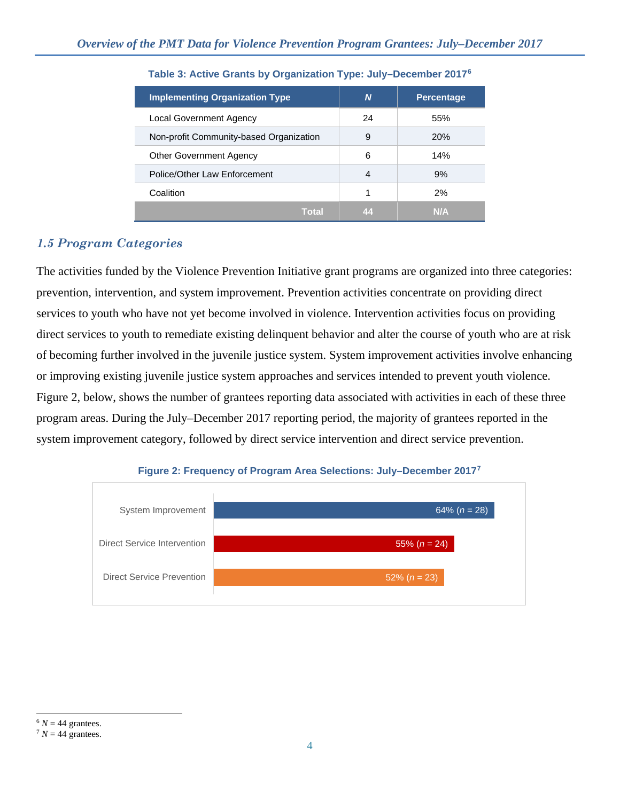| <b>Implementing Organization Type</b>   | N  | <b>Percentage</b> |
|-----------------------------------------|----|-------------------|
| <b>Local Government Agency</b>          | 24 | 55%               |
| Non-profit Community-based Organization | 9  | 20%               |
| <b>Other Government Agency</b>          | 6  | 14%               |
| Police/Other Law Enforcement            | 4  | 9%                |
| Coalition                               | 1  | 2%                |
| Total                                   | 44 | N/A               |

#### **Table 3: Active Grants by Organization Type: July–December 2017[6](#page-3-0)**

### *1.5 Program Categories*

The activities funded by the Violence Prevention Initiative grant programs are organized into three categories: prevention, intervention, and system improvement. Prevention activities concentrate on providing direct services to youth who have not yet become involved in violence. Intervention activities focus on providing direct services to youth to remediate existing delinquent behavior and alter the course of youth who are at risk of becoming further involved in the juvenile justice system. System improvement activities involve enhancing or improving existing juvenile justice system approaches and services intended to prevent youth violence. Figure 2, below, shows the number of grantees reporting data associated with activities in each of these three program areas. During the July–December 2017 reporting period, the majority of grantees reported in the system improvement category, followed by direct service intervention and direct service prevention.



#### **Figure 2: Frequency of Program Area Selections: July–December 2017[7](#page-3-1)**

<span id="page-3-0"></span> $\overline{a}$  $6 N = 44$  grantees.<br> $7 N = 44$  grantees.

<span id="page-3-1"></span>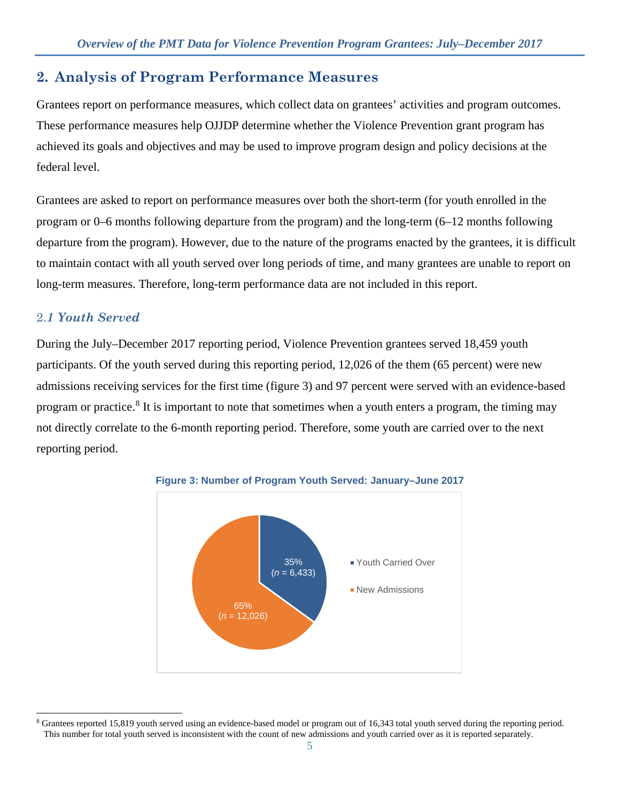# **2. Analysis of Program Performance Measures**

Grantees report on performance measures, which collect data on grantees' activities and program outcomes. These performance measures help OJJDP determine whether the Violence Prevention grant program has achieved its goals and objectives and may be used to improve program design and policy decisions at the federal level.

Grantees are asked to report on performance measures over both the short-term (for youth enrolled in the program or 0–6 months following departure from the program) and the long-term (6–12 months following departure from the program). However, due to the nature of the programs enacted by the grantees, it is difficult to maintain contact with all youth served over long periods of time, and many grantees are unable to report on long-term measures. Therefore, long-term performance data are not included in this report.

### 2.*1 Youth Served*

During the July–December 2017 reporting period, Violence Prevention grantees served 18,459 youth participants. Of the youth served during this reporting period, 12,026 of the them (65 percent) were new admissions receiving services for the first time (figure 3) and 97 percent were served with an evidence-based program or practice.<sup>[8](#page-4-0)</sup> It is important to note that sometimes when a youth enters a program, the timing may not directly correlate to the 6-month reporting period. Therefore, some youth are carried over to the next reporting period.



#### **Figure 3: Number of Program Youth Served: January–June 2017**

<span id="page-4-0"></span> $\overline{a}$ <sup>8</sup> Grantees reported 15,819 youth served using an evidence-based model or program out of 16,343 total youth served during the reporting period. This number for total youth served is inconsistent with the count of new admissions and youth carried over as it is reported separately.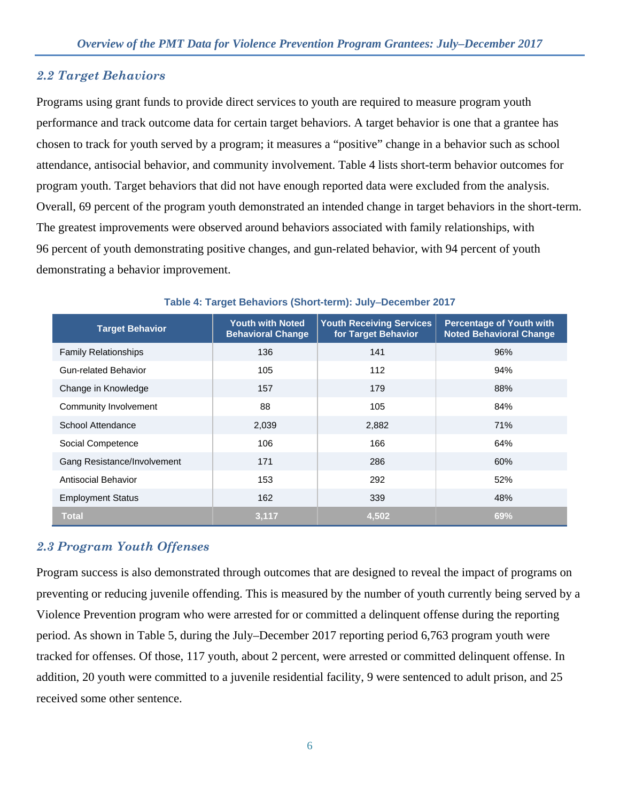### *2.2 Target Behaviors*

Programs using grant funds to provide direct services to youth are required to measure program youth performance and track outcome data for certain target behaviors. A target behavior is one that a grantee has chosen to track for youth served by a program; it measures a "positive" change in a behavior such as school attendance, antisocial behavior, and community involvement. Table 4 lists short-term behavior outcomes for program youth. Target behaviors that did not have enough reported data were excluded from the analysis. Overall, 69 percent of the program youth demonstrated an intended change in target behaviors in the short-term. The greatest improvements were observed around behaviors associated with family relationships, with 96 percent of youth demonstrating positive changes, and gun-related behavior, with 94 percent of youth demonstrating a behavior improvement.

| <b>Target Behavior</b>      | <b>Youth with Noted</b><br><b>Behavioral Change</b> | <b>Youth Receiving Services</b><br>for Target Behavior | <b>Percentage of Youth with</b><br><b>Noted Behavioral Change</b> |
|-----------------------------|-----------------------------------------------------|--------------------------------------------------------|-------------------------------------------------------------------|
| <b>Family Relationships</b> | 136                                                 | 141                                                    | 96%                                                               |
| Gun-related Behavior        | 105                                                 | 112                                                    | 94%                                                               |
| Change in Knowledge         | 157                                                 | 179                                                    | 88%                                                               |
| Community Involvement       | 88                                                  | 105                                                    | 84%                                                               |
| School Attendance           | 2,039                                               | 2,882                                                  | 71%                                                               |
| Social Competence           | 106                                                 | 166                                                    | 64%                                                               |
| Gang Resistance/Involvement | 171                                                 | 286                                                    | 60%                                                               |
| Antisocial Behavior         | 153                                                 | 292                                                    | 52%                                                               |
| <b>Employment Status</b>    | 162                                                 | 339                                                    | 48%                                                               |
| <b>Total</b>                | 3,117                                               | 4.502                                                  | 69%                                                               |

#### **Table 4: Target Behaviors (Short-term): July**−**December 2017**

### *2.3 Program Youth Offenses*

Program success is also demonstrated through outcomes that are designed to reveal the impact of programs on preventing or reducing juvenile offending. This is measured by the number of youth currently being served by a Violence Prevention program who were arrested for or committed a delinquent offense during the reporting period. As shown in Table 5, during the July–December 2017 reporting period 6,763 program youth were tracked for offenses. Of those, 117 youth, about 2 percent, were arrested or committed delinquent offense. In addition, 20 youth were committed to a juvenile residential facility, 9 were sentenced to adult prison, and 25 received some other sentence.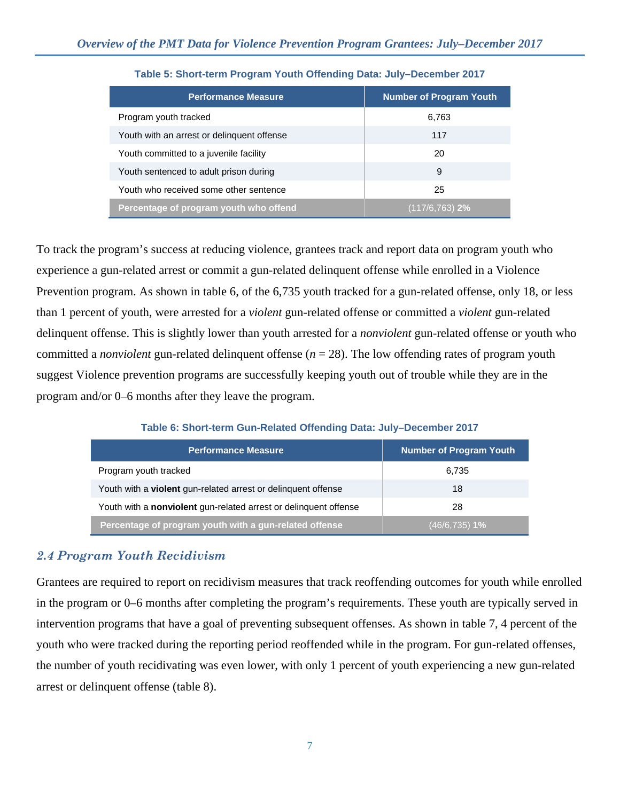| <b>Performance Measure</b>                 | <b>Number of Program Youth</b> |
|--------------------------------------------|--------------------------------|
| Program youth tracked                      | 6,763                          |
| Youth with an arrest or delinguent offense | 117                            |
| Youth committed to a juvenile facility     | 20                             |
| Youth sentenced to adult prison during     | 9                              |
| Youth who received some other sentence     | 25                             |
| Percentage of program youth who offend     | $(117/6, 763)$ 2%              |

#### **Table 5: Short-term Program Youth Offending Data: July–December 2017**

To track the program's success at reducing violence, grantees track and report data on program youth who experience a gun-related arrest or commit a gun-related delinquent offense while enrolled in a Violence Prevention program. As shown in table 6, of the 6,735 youth tracked for a gun-related offense, only 18, or less than 1 percent of youth, were arrested for a *violent* gun-related offense or committed a *violent* gun-related delinquent offense. This is slightly lower than youth arrested for a *nonviolent* gun-related offense or youth who committed a *nonviolent* gun-related delinquent offense (*n* = 28). The low offending rates of program youth suggest Violence prevention programs are successfully keeping youth out of trouble while they are in the program and/or 0–6 months after they leave the program.

# **Table 6: Short-term Gun-Related Offending Data: July–December 2017**

| <b>Performance Measure</b>                                           | <b>Number of Program Youth</b> |
|----------------------------------------------------------------------|--------------------------------|
| Program youth tracked                                                | 6,735                          |
| Youth with a <b>violent</b> gun-related arrest or delinguent offense | 18                             |
| Youth with a nonviolent gun-related arrest or delinquent offense     | 28                             |
| Percentage of program youth with a gun-related offense               | $(46/6, 735)$ 1%               |

# *2.4 Program Youth Recidivism*

Grantees are required to report on recidivism measures that track reoffending outcomes for youth while enrolled in the program or 0–6 months after completing the program's requirements. These youth are typically served in intervention programs that have a goal of preventing subsequent offenses. As shown in table 7, 4 percent of the youth who were tracked during the reporting period reoffended while in the program. For gun-related offenses, the number of youth recidivating was even lower, with only 1 percent of youth experiencing a new gun-related arrest or delinquent offense (table 8).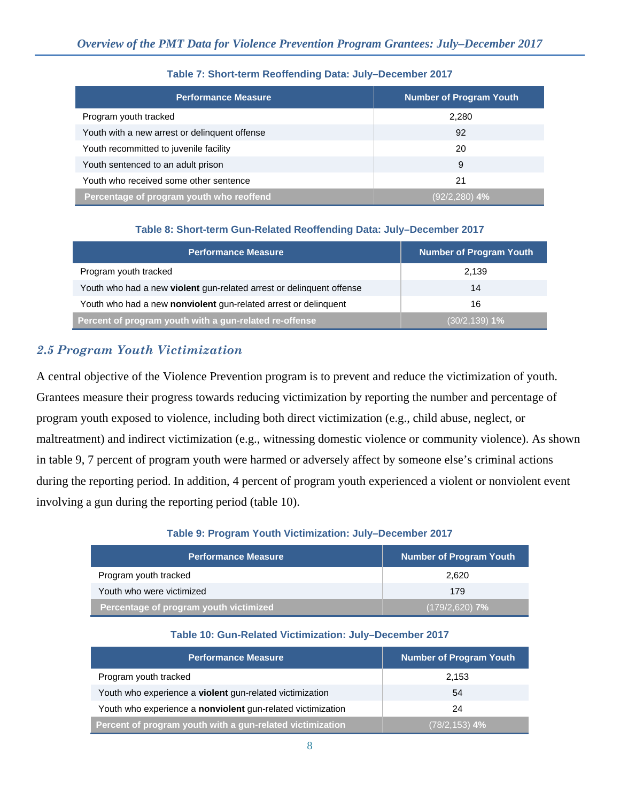| <b>Performance Measure</b>                    | <b>Number of Program Youth</b> |
|-----------------------------------------------|--------------------------------|
| Program youth tracked                         | 2.280                          |
| Youth with a new arrest or delinguent offense | 92                             |
| Youth recommitted to juvenile facility        | 20                             |
| Youth sentenced to an adult prison            | 9                              |
| Youth who received some other sentence        | 21                             |
| Percentage of program youth who reoffend      | (92/2,280) <b>4%</b>           |

#### **Table 7: Short-term Reoffending Data: July–December 2017**

#### **Table 8: Short-term Gun-Related Reoffending Data: July–December 2017**

| <b>Performance Measure</b>                                           | <b>Number of Program Youth</b> |
|----------------------------------------------------------------------|--------------------------------|
| Program youth tracked                                                | 2,139                          |
| Youth who had a new violent gun-related arrest or delinquent offense | 14                             |
| Youth who had a new nonviolent gun-related arrest or delinquent      | 16                             |
| Percent of program youth with a gun-related re-offense               | $(30/2, 139)$ 1%               |

# *2***.***5 Program Youth Victimization*

A central objective of the Violence Prevention program is to prevent and reduce the victimization of youth. Grantees measure their progress towards reducing victimization by reporting the number and percentage of program youth exposed to violence, including both direct victimization (e.g., child abuse, neglect, or maltreatment) and indirect victimization (e.g., witnessing domestic violence or community violence). As shown in table 9, 7 percent of program youth were harmed or adversely affect by someone else's criminal actions during the reporting period. In addition, 4 percent of program youth experienced a violent or nonviolent event involving a gun during the reporting period (table 10).

#### **Table 9: Program Youth Victimization: July–December 2017**

| Performance Measure                    | <b>Number of Program Youth</b> |
|----------------------------------------|--------------------------------|
| Program youth tracked                  | 2.620                          |
| Youth who were victimized              | 179                            |
| Percentage of program youth victimized | (179/2,620) <b>7%</b>          |

#### **Table 10: Gun-Related Victimization: July–December 2017**

| <b>Performance Measure</b>                                  | <b>Number of Program Youth</b> |
|-------------------------------------------------------------|--------------------------------|
| Program youth tracked                                       | 2.153                          |
| Youth who experience a violent gun-related victimization    | 54                             |
| Youth who experience a nonviolent gun-related victimization | 24                             |
| Percent of program youth with a gun-related victimization   | (78/2,153) <b>4%</b>           |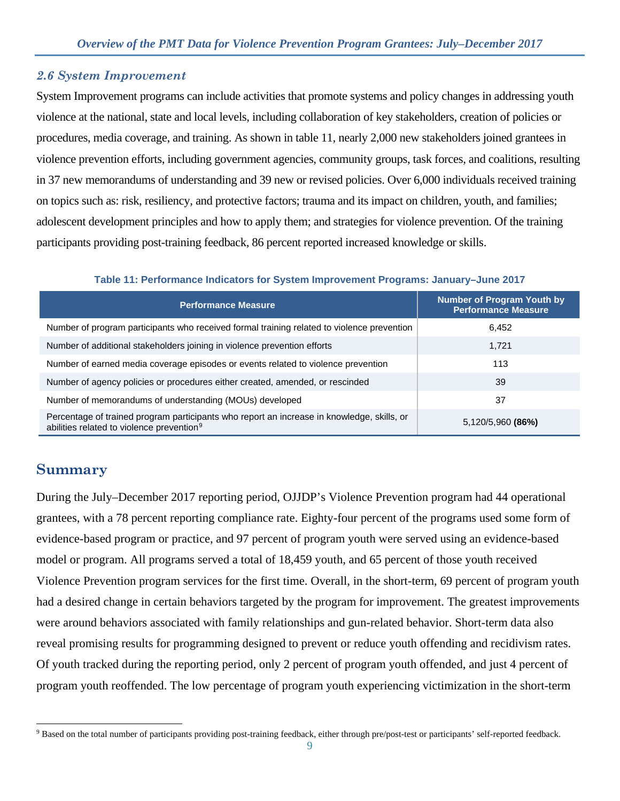### *2.6 System Improvement*

System Improvement programs can include activities that promote systems and policy changes in addressing youth violence at the national, state and local levels, including collaboration of key stakeholders, creation of policies or procedures, media coverage, and training. As shown in table 11, nearly 2,000 new stakeholders joined grantees in violence prevention efforts, including government agencies, community groups, task forces, and coalitions, resulting in 37 new memorandums of understanding and 39 new or revised policies. Over 6,000 individuals received training on topics such as: risk, resiliency, and protective factors; trauma and its impact on children, youth, and families; adolescent development principles and how to apply them; and strategies for violence prevention. Of the training participants providing post-training feedback, 86 percent reported increased knowledge or skills.

| <b>Performance Measure</b>                                                                                                                          | <b>Number of Program Youth by</b><br><b>Performance Measure</b> |
|-----------------------------------------------------------------------------------------------------------------------------------------------------|-----------------------------------------------------------------|
| Number of program participants who received formal training related to violence prevention                                                          | 6,452                                                           |
| Number of additional stakeholders joining in violence prevention efforts                                                                            | 1,721                                                           |
| Number of earned media coverage episodes or events related to violence prevention                                                                   | 113                                                             |
| Number of agency policies or procedures either created, amended, or rescinded                                                                       | 39                                                              |
| Number of memorandums of understanding (MOUs) developed                                                                                             | 37                                                              |
| Percentage of trained program participants who report an increase in knowledge, skills, or<br>abilities related to violence prevention <sup>9</sup> | 5,120/5,960 (86%)                                               |

#### **Table 11: Performance Indicators for System Improvement Programs: January–June 2017**

# **Summary**

During the July–December 2017 reporting period, OJJDP's Violence Prevention program had 44 operational grantees, with a 78 percent reporting compliance rate. Eighty-four percent of the programs used some form of evidence-based program or practice, and 97 percent of program youth were served using an evidence-based model or program. All programs served a total of 18,459 youth, and 65 percent of those youth received Violence Prevention program services for the first time. Overall, in the short-term, 69 percent of program youth had a desired change in certain behaviors targeted by the program for improvement. The greatest improvements were around behaviors associated with family relationships and gun-related behavior. Short-term data also reveal promising results for programming designed to prevent or reduce youth offending and recidivism rates. Of youth tracked during the reporting period, only 2 percent of program youth offended, and just 4 percent of program youth reoffended. The low percentage of program youth experiencing victimization in the short-term

<span id="page-8-0"></span> $\overline{a}$ <sup>9</sup> Based on the total number of participants providing post-training feedback, either through pre/post-test or participants' self-reported feedback.